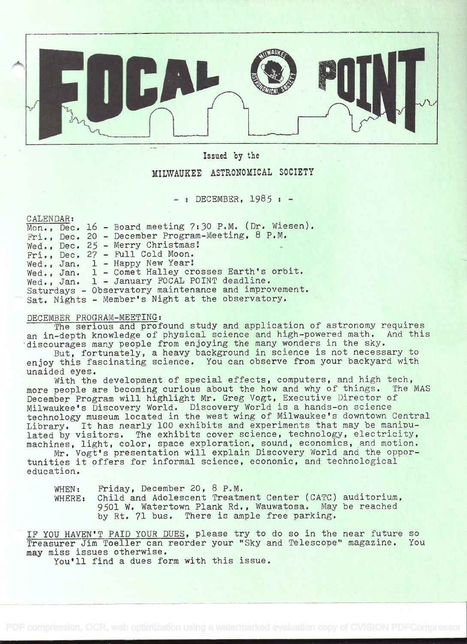

## Issued by the

## MILWAUKEE ASTRONOMICAL SOCIETY

 $-$  : DECEMBER, 1985 :  $-$ 

CALENDAR:

|  |  | Mon., Dec. 16 - Board meeting 7:30 P.M. (Dr. Wiesen). |
|--|--|-------------------------------------------------------|
|  |  | Fri., Dec. 20 - December Program-Meeting, 8 P.M.      |
|  |  | Wed., Dec. 25 - Merry Christmas!                      |
|  |  | $Fri., Dec. 27 - Full Cold Moon.$                     |
|  |  | Wed., Jan. 1 - Happy New Year!                        |
|  |  | Wed., Jan. 1 - Comet Halley crosses Earth's orbit.    |
|  |  | Wed., Jan. 1 - January FOCAL POINT deadline.          |
|  |  | Saturdays - Observatory maintenance and improvement.  |
|  |  | Sat. Nights - Member's Night at the observatory.      |

## DECEMBER PROGRAM-MEETING:

The serious and profound study and application of astronomy requires an in-depth knowledge of physical science and high-powered math. And this discourages many people from enjoying the many wonders in the sky.

But, fortunately, a heavy background in science is not necessary to enjoy this fascinating science. You can observe from your backyard with unaided eyes.

With the development of special effects, computers, and high tech, more people are becoming curious about the how and why of things. The MAS December Program will highlight Mr. Greg Vogt, Executive Director of Milwaukee's Discovery World. Discovery World is a hands-on science technology museum located in the west wing of Milwaukee's downtown Central Library. It has nearly lOO exhibits and experiments that may be manipulated by visitors. The exhibits cover science, technology, electricity, machines, light, color, space exploration, sound, economics, and motion.

Mr. Vogt's presentation will explain Discovery World and the opportunities it offers for informal science, economic, and technological education.

WHEN: Friday, December 20, 8 P.M.<br>WHERE: Child and Adolescent Treatm Child and Adolescent Treatment Center (CATC) auditorium, 9501 W. Watertown Plank Rd. , Wauwatosa. May be reached by Rt. 71 bus. There is ample free parking.

IF YOU HAVEN'T PAID YOUR DUES, please try to do so in the near future so Treasurer Jim Toeller can reorder your "Sky and Telescope" magazine. You may miss issues otherwise.

You'll find a dues form with this issue.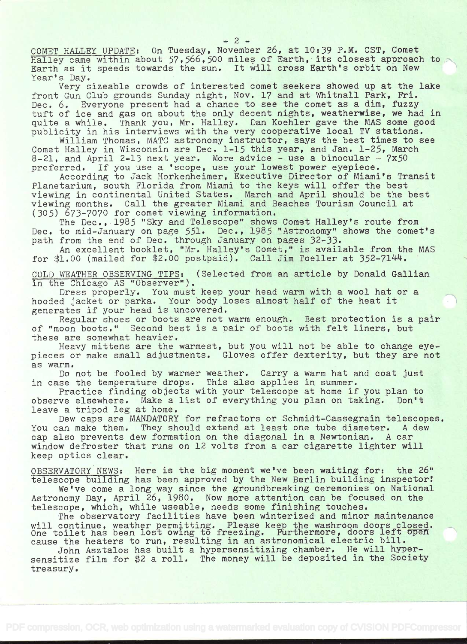COMET HALLEY UPDATE: On Tuesday, November 26, at 10:39 P.M. CST, Comet Halley came within about 57,566,500 miles of Earth, its closest approach to Earth as it speeds towards the sun. It will cross Earth's orbit on New Year's Day.

Very sizeable crowds of interested comet seekers showed up at the lake front Gun Club grounds Sunday night, Nov. 17 and at Whitnall Park, Fri. Dec. 6. Everyone present had a chance to see the comet as a dim, fuzzy tuft of ice and gas on about the only decent nights, weatherwise, we had in<br>quite a while. Thank you, Mr. Halley. Dan Koehler gave the MAS some good Thank you, Mr. Halley. Dan Koehler gave the MAS some good publicity in his interviews with the very cooperative local TV stations.

William Thomas, MATC astronomy instructor, says the best times to see Comet Halley in Wisconsin are Dec. 1-15 this year, and Jan. 1-25, March 8-21, and April 2-13 next year. More advice - use a binocular -  $7x50$ preferred. If you use a 'scope, use your lowest power eyepiece.

According to Jack Horkenheimer, Executive Director of Miami's Transit Planetarium, south Florida from Miami to the keys will offer the best viewing in continental United States. March and April should be the best viewing months. Call the greater Miami and Beaches Tourism Council at (305) 673-7070 for comet viewing information.

The Dec., 1985 "Sky and Telescope" shows Comet Halley's route from Dec. to mid-January on page 551. Dec., 1985 "Astronomy" shows the comet's path from the end of Dec. through January on pages 32-33.

An excellent booklet, "Mr. Halley's Comet," is available from the MAS for \$1.00 (mailed for \$2.00 postpaid). Call Jim Toeller at  $352-7144$ .

COLD WEATHER OBSERVING TIPS: (Selected from an article by Donald Gallian in the Chicago AS "Observer").

Dress properly. You must keep your head warm with a wool hat or a hooded jacket or parka. Your body loses almost half of the heat it generates if your head is uncovered.

Regular shoes or boots are not warm enough. Best protection is a pair of "moon boots." Second best is a pair of boots with felt liners, but these are somewhat heavier.

Heavy mittens are the warmest, but you will not be able to change eyepieces or make small adjustments. Gloves offer dexterity, but they are not as warm.

Do not be fooled by warmer weather. Carry a warm hat and coat just in case the temperature drops. This also applies in summer.

Practice finding objects with your telescope at home if you plan to observe elsewhere. Make a list of everything you plan on taking. Don't leave a tripod leg at home.

Dew caps are MANDATORY for refractors or Schmidt-Cassegrain telescopes. You can make them. They should extend at least one tube diameter. A dew cap also prevents dew formation on the diagonal in a Newtonian. A car window defroster that runs on 12 volts from a car cigarette lighter will keep optics clear.

OBSERVATORY NEWS: Here is the big moment we've been waiting for: the 26" telescope building has been approved by the New Berlin building inspector!

We've come a long way since the groundbreaking ceremonies on National Astronomy Day, April 26, 1980. Now more attention can be focused on the telescope, which, while useable, needs some finishing touches.

The observatory facilities have been winterized and minor maintenance will continue, weather permitting. Please keep the washroom doors closed. One toilet has been lost owing to freezing. Furthermore, doors left open cause the heaters to run, resulting in an astronomical electric bill.

John Asztalos has built a hypersensitizing chamber. He will hypersensitize film for \$2 a roll. The money will be deposited in the Society treasury.

-2-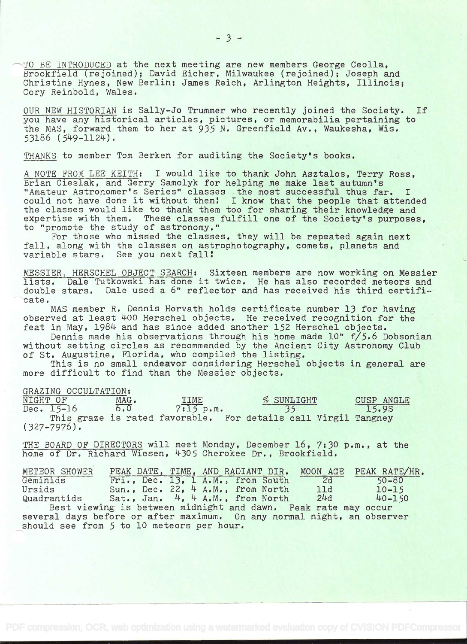TO BE INTRODUCED at the next meeting are new members George Ceolla, Brookfield (rejoined); David Eicher, Milwaukee (rejoined); Joseph and Christine Hynes, New Berlin; James Reich, Arlington Heights, Illinois; Cory Reinbold, Wales.

OUR NEW HISTORIAN is Sally-Jo Trummer who recently joined the Society. If you have any historical articles, pictures, or memorabilia pertaining to the MAS, forward them to her at 935 N. Greenfield Av., Waukesha, Wis. 53186 (549-1124).

 $-3-$ 

THANKS to member Tom Berken for auditing the Society's books.

A NOTE FROM LEE KEITH: I would like to thank John Asztalos, Terry Ross, Brian Cieslak, and Gerry Samolyk for helping me make last autumn's "Amateur Astronomer's Series" classes the most successful thus far. <sup>I</sup> could not have done it without them! I know that the people that attended the classes would like to thank them too for sharing their knowledge and expertise with them. These classes fulfill one of the Society's purposes, to "promote the study of astronomy."

For those who missed the classes, they will be repeated again next fall, along with the classes on astrophotography, comets, planets and variable stars. See you next fall!

MESSIER, HERSCHEL OBJECT SEARCH: Sixteen members are now working on Messier lists. Dale Tutkowski has done it twice. He has also recorded meteors and double stars. Dale used a 6" reflector and has received his third certificate.

MAS member R. Dennis Horvath holds certificate number 13 for having observed at least 4OO Herschel objects. He received recognition for the feat in May, 1984 and has since added another 152 Herschel objects.

Dennis made his observations through his home made 10" f/5.6 Dobsonian without setting circles as recommended by the Ancient City Astronomy Club of St. Augustine, Florida, who compiled the listing.

This is no small endeavor considering Herschel objects in general are more difficult to find than the Messier objects.

GRAZING OCCULTATION:<br>NIGHT OF MAG. TIME NIGHT OF MAG. TIME  $\frac{m}{6.0}$  TIME  $\frac{35}{35}$  CUSP ANGLE  $7:15 p.m.$ This graze is rated favorable. For details call Virgil Tangney  $(327 - 7976)$ .

THE BOARD OF DIRECTORS will meet Monday, December 16, 7:30 p.m., at the home of Dr. Richard Wiesen, 4305 Cherokee Dr., Brookfield.

| METEOR SHOWER                                                          |  |  |                                          |    | PEAK DATE, TIME, AND RADIANT DIR. MOON AGE PEAK RATE/HR. |  |  |  |  |  |  |
|------------------------------------------------------------------------|--|--|------------------------------------------|----|----------------------------------------------------------|--|--|--|--|--|--|
| Geminids                                                               |  |  | Fri., Dec. 13, 1 A.M., from South        | 2d | $50 - 80$                                                |  |  |  |  |  |  |
| Ursids                                                                 |  |  | Sun., Dec. $22$ , 4 A.M., from North 11d |    | $10 - 15$                                                |  |  |  |  |  |  |
| Quadrantids Sat., Jan. 4, 4 A.M., from North 24d                       |  |  |                                          |    | $40 - 150$                                               |  |  |  |  |  |  |
| Best viewing is between midnight and dawn. Peak rate may occur         |  |  |                                          |    |                                                          |  |  |  |  |  |  |
| several days before or after maximum. On any normal night, an observer |  |  |                                          |    |                                                          |  |  |  |  |  |  |
| should see from 5 to 10 meteors per hour.                              |  |  |                                          |    |                                                          |  |  |  |  |  |  |